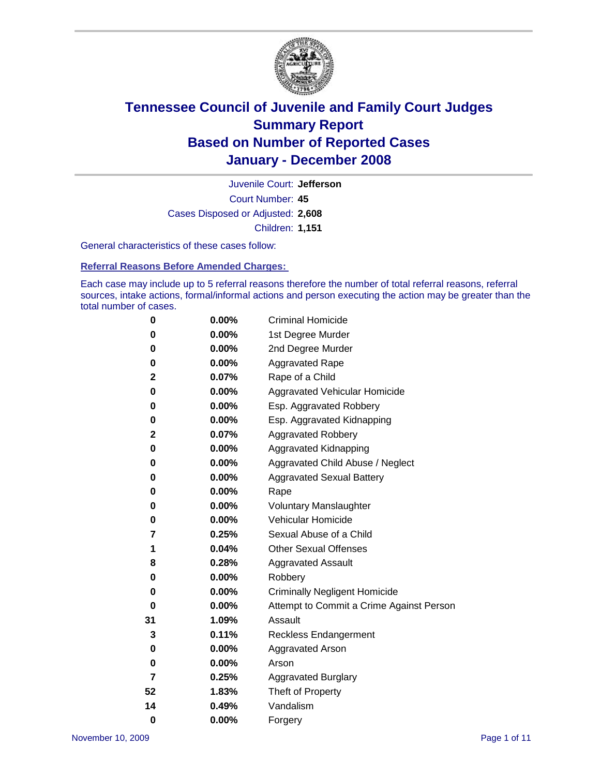

Court Number: **45** Juvenile Court: **Jefferson** Cases Disposed or Adjusted: **2,608** Children: **1,151**

General characteristics of these cases follow:

**Referral Reasons Before Amended Charges:** 

Each case may include up to 5 referral reasons therefore the number of total referral reasons, referral sources, intake actions, formal/informal actions and person executing the action may be greater than the total number of cases.

| 0  | 0.00%    | <b>Criminal Homicide</b>                 |
|----|----------|------------------------------------------|
| 0  | 0.00%    | 1st Degree Murder                        |
| 0  | $0.00\%$ | 2nd Degree Murder                        |
| 0  | 0.00%    | <b>Aggravated Rape</b>                   |
| 2  | 0.07%    | Rape of a Child                          |
| 0  | 0.00%    | Aggravated Vehicular Homicide            |
| 0  | 0.00%    | Esp. Aggravated Robbery                  |
| 0  | 0.00%    | Esp. Aggravated Kidnapping               |
| 2  | 0.07%    | <b>Aggravated Robbery</b>                |
| 0  | 0.00%    | Aggravated Kidnapping                    |
| 0  | 0.00%    | Aggravated Child Abuse / Neglect         |
| 0  | $0.00\%$ | <b>Aggravated Sexual Battery</b>         |
| 0  | 0.00%    | Rape                                     |
| 0  | 0.00%    | <b>Voluntary Manslaughter</b>            |
| 0  | 0.00%    | Vehicular Homicide                       |
| 7  | 0.25%    | Sexual Abuse of a Child                  |
| 1  | 0.04%    | <b>Other Sexual Offenses</b>             |
| 8  | 0.28%    | <b>Aggravated Assault</b>                |
| 0  | $0.00\%$ | Robbery                                  |
| 0  | 0.00%    | <b>Criminally Negligent Homicide</b>     |
| 0  | 0.00%    | Attempt to Commit a Crime Against Person |
| 31 | 1.09%    | Assault                                  |
| 3  | 0.11%    | <b>Reckless Endangerment</b>             |
| 0  | 0.00%    | Aggravated Arson                         |
| 0  | 0.00%    | Arson                                    |
| 7  | 0.25%    | <b>Aggravated Burglary</b>               |
| 52 | 1.83%    | Theft of Property                        |
| 14 | 0.49%    | Vandalism                                |
| 0  | 0.00%    | Forgery                                  |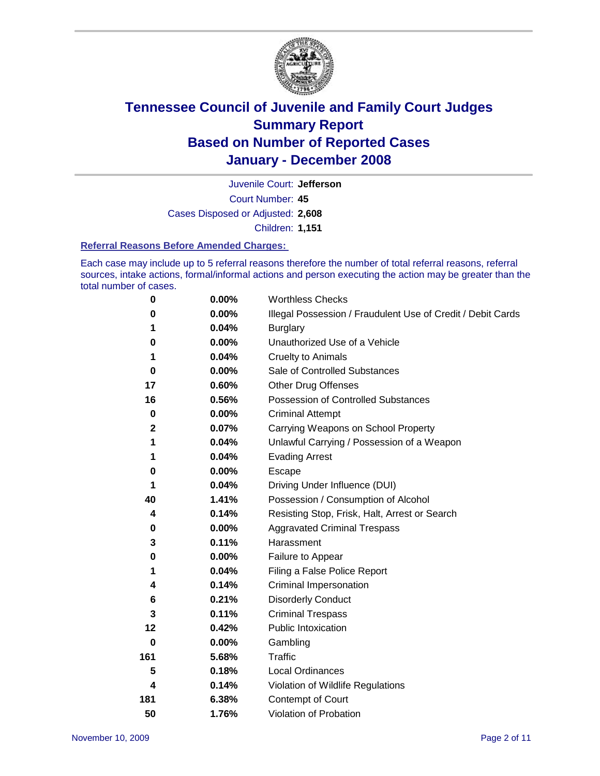

Court Number: **45** Juvenile Court: **Jefferson** Cases Disposed or Adjusted: **2,608** Children: **1,151**

#### **Referral Reasons Before Amended Charges:**

Each case may include up to 5 referral reasons therefore the number of total referral reasons, referral sources, intake actions, formal/informal actions and person executing the action may be greater than the total number of cases.

| 0           | 0.00% | <b>Worthless Checks</b>                                     |
|-------------|-------|-------------------------------------------------------------|
| 0           | 0.00% | Illegal Possession / Fraudulent Use of Credit / Debit Cards |
|             | 0.04% | <b>Burglary</b>                                             |
| 0           | 0.00% | Unauthorized Use of a Vehicle                               |
| 1           | 0.04% | <b>Cruelty to Animals</b>                                   |
| 0           | 0.00% | Sale of Controlled Substances                               |
| 17          | 0.60% | <b>Other Drug Offenses</b>                                  |
| 16          | 0.56% | Possession of Controlled Substances                         |
| $\mathbf 0$ | 0.00% | <b>Criminal Attempt</b>                                     |
| $\mathbf 2$ | 0.07% | Carrying Weapons on School Property                         |
| 1           | 0.04% | Unlawful Carrying / Possession of a Weapon                  |
| 1           | 0.04% | <b>Evading Arrest</b>                                       |
| 0           | 0.00% | Escape                                                      |
| 1           | 0.04% | Driving Under Influence (DUI)                               |
| 40          | 1.41% | Possession / Consumption of Alcohol                         |
| 4           | 0.14% | Resisting Stop, Frisk, Halt, Arrest or Search               |
| 0           | 0.00% | <b>Aggravated Criminal Trespass</b>                         |
| 3           | 0.11% | Harassment                                                  |
| 0           | 0.00% | Failure to Appear                                           |
| 1           | 0.04% | Filing a False Police Report                                |
| 4           | 0.14% | Criminal Impersonation                                      |
| 6           | 0.21% | <b>Disorderly Conduct</b>                                   |
| 3           | 0.11% | <b>Criminal Trespass</b>                                    |
| 12          | 0.42% | <b>Public Intoxication</b>                                  |
| $\bf{0}$    | 0.00% | Gambling                                                    |
| 161         | 5.68% | Traffic                                                     |
| 5           | 0.18% | <b>Local Ordinances</b>                                     |
| 4           | 0.14% | Violation of Wildlife Regulations                           |
| 181         | 6.38% | Contempt of Court                                           |
| 50          | 1.76% | Violation of Probation                                      |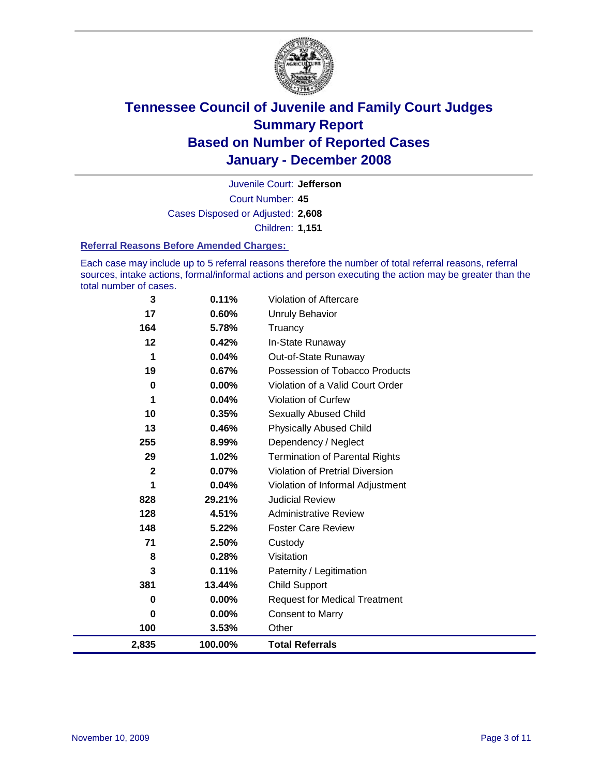

Court Number: **45** Juvenile Court: **Jefferson** Cases Disposed or Adjusted: **2,608** Children: **1,151**

#### **Referral Reasons Before Amended Charges:**

Each case may include up to 5 referral reasons therefore the number of total referral reasons, referral sources, intake actions, formal/informal actions and person executing the action may be greater than the total number of cases.

| 3           | 0.11%   | Violation of Aftercare                 |
|-------------|---------|----------------------------------------|
| 17          | 0.60%   | <b>Unruly Behavior</b>                 |
| 164         | 5.78%   | Truancy                                |
| 12          | 0.42%   | In-State Runaway                       |
| 1           | 0.04%   | Out-of-State Runaway                   |
| 19          | 0.67%   | Possession of Tobacco Products         |
| 0           | 0.00%   | Violation of a Valid Court Order       |
| 1           | 0.04%   | Violation of Curfew                    |
| 10          | 0.35%   | <b>Sexually Abused Child</b>           |
| 13          | 0.46%   | <b>Physically Abused Child</b>         |
| 255         | 8.99%   | Dependency / Neglect                   |
| 29          | 1.02%   | <b>Termination of Parental Rights</b>  |
| $\mathbf 2$ | 0.07%   | <b>Violation of Pretrial Diversion</b> |
| 1           | 0.04%   | Violation of Informal Adjustment       |
| 828         | 29.21%  | <b>Judicial Review</b>                 |
| 128         | 4.51%   | <b>Administrative Review</b>           |
| 148         | 5.22%   | <b>Foster Care Review</b>              |
| 71          | 2.50%   | Custody                                |
| 8           | 0.28%   | Visitation                             |
| 3           | 0.11%   | Paternity / Legitimation               |
| 381         | 13.44%  | <b>Child Support</b>                   |
| 0           | 0.00%   | <b>Request for Medical Treatment</b>   |
| $\bf{0}$    | 0.00%   | <b>Consent to Marry</b>                |
| 100         | 3.53%   | Other                                  |
| 2,835       | 100.00% | <b>Total Referrals</b>                 |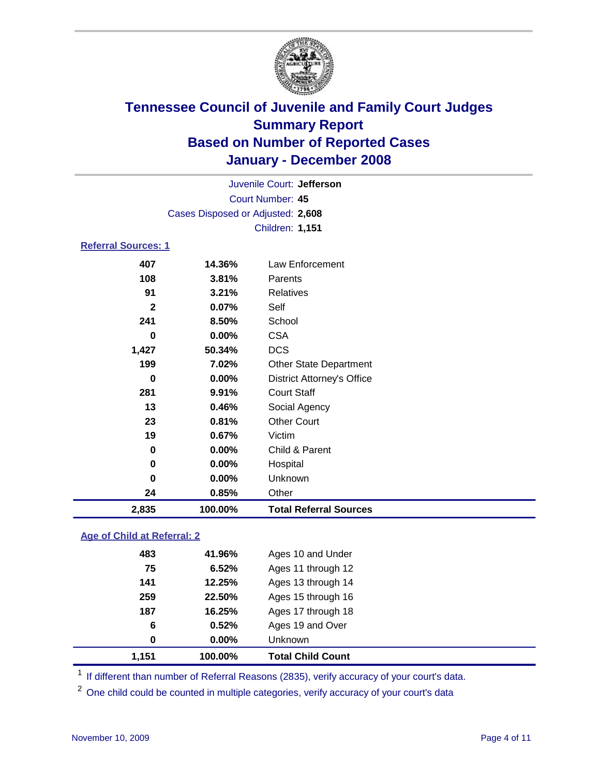

Court Number: **45** Juvenile Court: **Jefferson** Cases Disposed or Adjusted: **2,608** Children: **1,151**

### **Referral Sources: 1**

| 2,835          | 100.00%  | <b>Total Referral Sources</b>     |
|----------------|----------|-----------------------------------|
| 24             | 0.85%    | Other                             |
| 0              | $0.00\%$ | Unknown                           |
| 0              | 0.00%    | Hospital                          |
| 0              | 0.00%    | Child & Parent                    |
| 19             | 0.67%    | Victim                            |
| 23             | 0.81%    | <b>Other Court</b>                |
| 13             | 0.46%    | Social Agency                     |
| 281            | 9.91%    | <b>Court Staff</b>                |
| 0              | 0.00%    | <b>District Attorney's Office</b> |
| 199            | 7.02%    | <b>Other State Department</b>     |
| 1,427          | 50.34%   | <b>DCS</b>                        |
| 0              | $0.00\%$ | <b>CSA</b>                        |
| 241            | 8.50%    | School                            |
| $\overline{2}$ | 0.07%    | Self                              |
| 91             | 3.21%    | Relatives                         |
| 108            | 3.81%    | Parents                           |
| 407            | 14.36%   | Law Enforcement                   |

### **Age of Child at Referral: 2**

| 0   | 0.00%  | <b>Unknown</b>     |
|-----|--------|--------------------|
|     |        |                    |
| 6   | 0.52%  | Ages 19 and Over   |
| 187 | 16.25% | Ages 17 through 18 |
| 259 | 22.50% | Ages 15 through 16 |
| 141 | 12.25% | Ages 13 through 14 |
| 75  | 6.52%  | Ages 11 through 12 |
| 483 | 41.96% | Ages 10 and Under  |
|     |        |                    |

<sup>1</sup> If different than number of Referral Reasons (2835), verify accuracy of your court's data.

<sup>2</sup> One child could be counted in multiple categories, verify accuracy of your court's data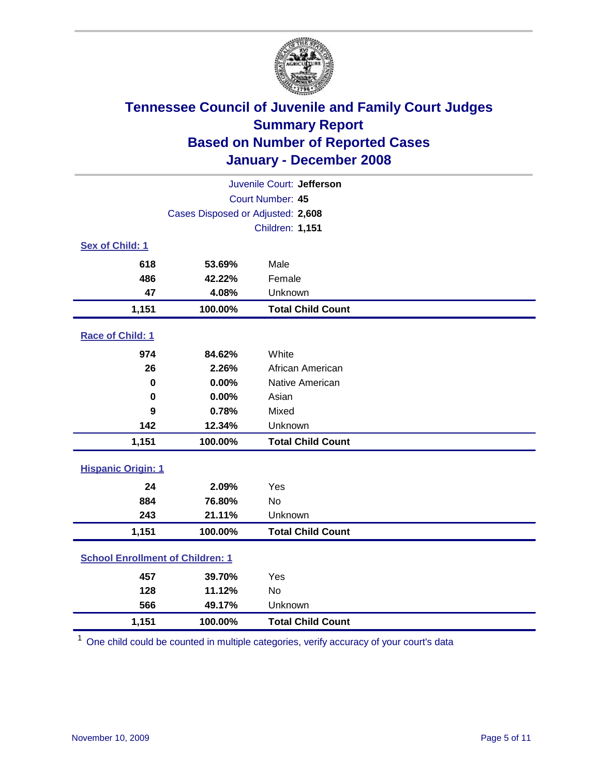

| Juvenile Court: Jefferson               |                                   |                          |  |  |  |
|-----------------------------------------|-----------------------------------|--------------------------|--|--|--|
| Court Number: 45                        |                                   |                          |  |  |  |
|                                         | Cases Disposed or Adjusted: 2,608 |                          |  |  |  |
|                                         |                                   | Children: 1,151          |  |  |  |
| Sex of Child: 1                         |                                   |                          |  |  |  |
| 618                                     | 53.69%                            | Male                     |  |  |  |
| 486                                     | 42.22%                            | Female                   |  |  |  |
| 47                                      | 4.08%                             | Unknown                  |  |  |  |
| 1,151                                   | 100.00%                           | <b>Total Child Count</b> |  |  |  |
| Race of Child: 1                        |                                   |                          |  |  |  |
| 974                                     | 84.62%                            | White                    |  |  |  |
| 26                                      | 2.26%                             | African American         |  |  |  |
| 0                                       | 0.00%                             | Native American          |  |  |  |
| $\bf{0}$                                | 0.00%                             | Asian                    |  |  |  |
| 9                                       | 0.78%                             | Mixed                    |  |  |  |
| 142                                     | 12.34%                            | Unknown                  |  |  |  |
| 1,151                                   | 100.00%                           | <b>Total Child Count</b> |  |  |  |
| <b>Hispanic Origin: 1</b>               |                                   |                          |  |  |  |
| 24                                      | 2.09%                             | Yes                      |  |  |  |
| 884                                     | 76.80%                            | <b>No</b>                |  |  |  |
| 243                                     | 21.11%                            | Unknown                  |  |  |  |
| 1,151                                   | 100.00%                           | <b>Total Child Count</b> |  |  |  |
| <b>School Enrollment of Children: 1</b> |                                   |                          |  |  |  |
| 457                                     | 39.70%                            | Yes                      |  |  |  |
| 128                                     | 11.12%                            | <b>No</b>                |  |  |  |
| 566                                     | 49.17%                            | Unknown                  |  |  |  |
| 1,151                                   | 100.00%                           | <b>Total Child Count</b> |  |  |  |

<sup>1</sup> One child could be counted in multiple categories, verify accuracy of your court's data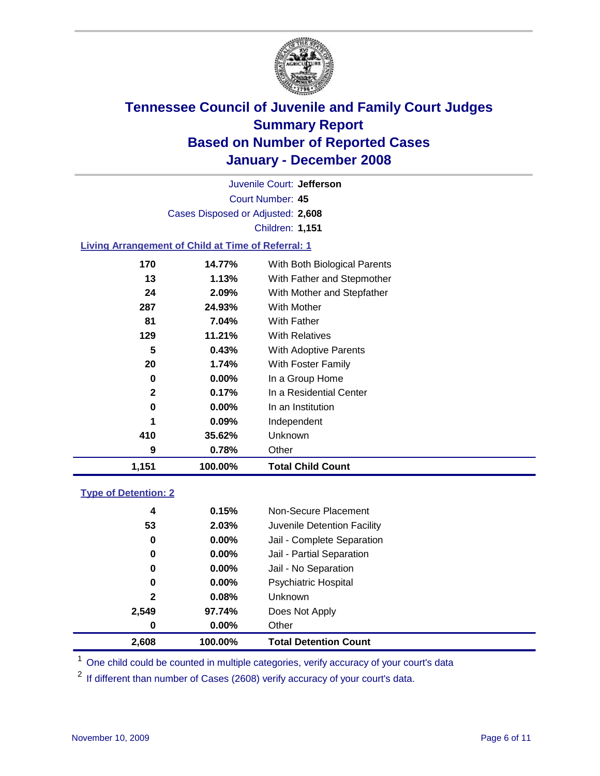

Court Number: **45** Juvenile Court: **Jefferson** Cases Disposed or Adjusted: **2,608** Children: **1,151**

### **Living Arrangement of Child at Time of Referral: 1**

| 1,151 | 100.00%  | <b>Total Child Count</b>     |
|-------|----------|------------------------------|
| 9     | 0.78%    | Other                        |
| 410   | 35.62%   | Unknown                      |
| 1     | $0.09\%$ | Independent                  |
| 0     | 0.00%    | In an Institution            |
| 2     | 0.17%    | In a Residential Center      |
| 0     | $0.00\%$ | In a Group Home              |
| 20    | 1.74%    | With Foster Family           |
| 5     | 0.43%    | With Adoptive Parents        |
| 129   | 11.21%   | <b>With Relatives</b>        |
| 81    | 7.04%    | <b>With Father</b>           |
| 287   | 24.93%   | With Mother                  |
| 24    | 2.09%    | With Mother and Stepfather   |
| 13    | 1.13%    | With Father and Stepmother   |
| 170   | 14.77%   | With Both Biological Parents |

#### **Type of Detention: 2**

| 2.608 | 100.00%  | <b>Total Detention Count</b> |  |
|-------|----------|------------------------------|--|
| 0     | 0.00%    | Other                        |  |
| 2,549 | 97.74%   | Does Not Apply               |  |
| 2     | 0.08%    | <b>Unknown</b>               |  |
| 0     | 0.00%    | Psychiatric Hospital         |  |
| 0     | $0.00\%$ | Jail - No Separation         |  |
| 0     | $0.00\%$ | Jail - Partial Separation    |  |
| 0     | $0.00\%$ | Jail - Complete Separation   |  |
| 53    | 2.03%    | Juvenile Detention Facility  |  |
| 4     | 0.15%    | Non-Secure Placement         |  |
|       |          |                              |  |

<sup>1</sup> One child could be counted in multiple categories, verify accuracy of your court's data

<sup>2</sup> If different than number of Cases (2608) verify accuracy of your court's data.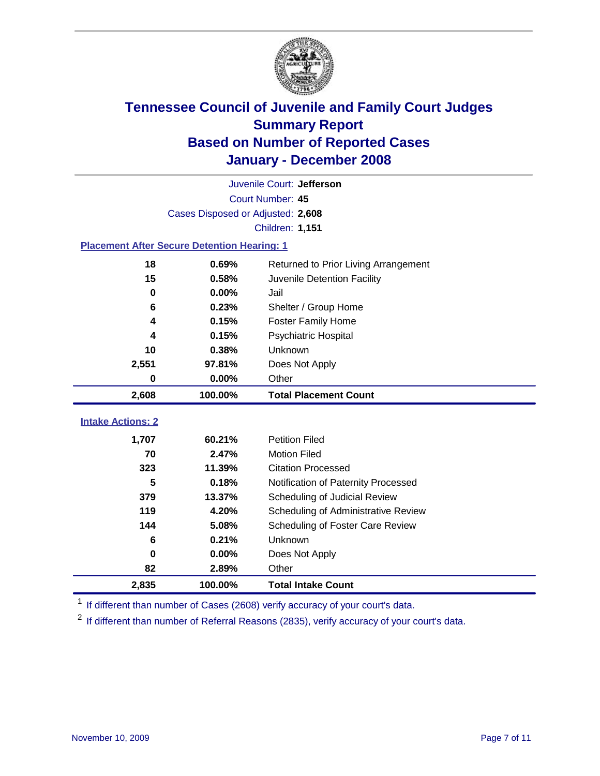

| Juvenile Court: Jefferson                          |                                   |                                      |  |  |  |
|----------------------------------------------------|-----------------------------------|--------------------------------------|--|--|--|
| Court Number: 45                                   |                                   |                                      |  |  |  |
|                                                    | Cases Disposed or Adjusted: 2,608 |                                      |  |  |  |
|                                                    |                                   | <b>Children: 1,151</b>               |  |  |  |
| <b>Placement After Secure Detention Hearing: 1</b> |                                   |                                      |  |  |  |
| 18                                                 | 0.69%                             | Returned to Prior Living Arrangement |  |  |  |
| 15                                                 | 0.58%                             | Juvenile Detention Facility          |  |  |  |
| $\bf{0}$                                           | 0.00%                             | Jail                                 |  |  |  |
| 6                                                  | 0.23%                             | Shelter / Group Home                 |  |  |  |
| 4                                                  | 0.15%                             | <b>Foster Family Home</b>            |  |  |  |
| 4                                                  | 0.15%                             | Psychiatric Hospital                 |  |  |  |
| 10                                                 | 0.38%                             | Unknown                              |  |  |  |
| 2,551                                              | 97.81%                            | Does Not Apply                       |  |  |  |
| $\bf{0}$                                           | 0.00%                             | Other                                |  |  |  |
| 2,608                                              | 100.00%                           | <b>Total Placement Count</b>         |  |  |  |
|                                                    |                                   |                                      |  |  |  |
| <b>Intake Actions: 2</b>                           |                                   |                                      |  |  |  |
| 1,707                                              | 60.21%                            | <b>Petition Filed</b>                |  |  |  |
| 70                                                 | 2.47%                             | <b>Motion Filed</b>                  |  |  |  |
| 323                                                | 11.39%                            | <b>Citation Processed</b>            |  |  |  |
| 5                                                  | 0.18%                             | Notification of Paternity Processed  |  |  |  |
| 379                                                | 13.37%                            | Scheduling of Judicial Review        |  |  |  |
| 119                                                | 4.20%                             | Scheduling of Administrative Review  |  |  |  |
| 144                                                | 5.08%                             | Scheduling of Foster Care Review     |  |  |  |
| 6                                                  | 0.21%                             | Unknown                              |  |  |  |
| $\bf{0}$                                           | 0.00%                             | Does Not Apply                       |  |  |  |
| 82                                                 | 2.89%                             | Other                                |  |  |  |
| 2,835                                              | 100.00%                           | <b>Total Intake Count</b>            |  |  |  |

<sup>1</sup> If different than number of Cases (2608) verify accuracy of your court's data.

<sup>2</sup> If different than number of Referral Reasons (2835), verify accuracy of your court's data.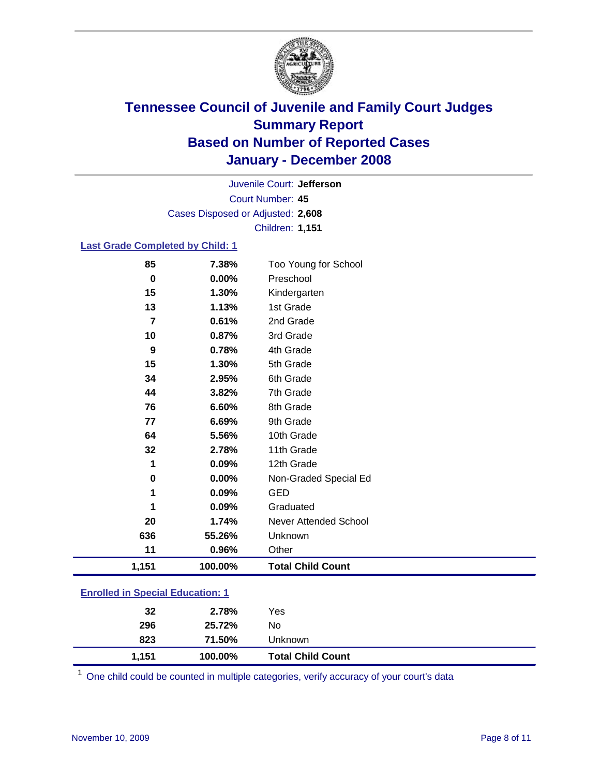

Court Number: **45** Juvenile Court: **Jefferson** Cases Disposed or Adjusted: **2,608** Children: **1,151**

#### **Last Grade Completed by Child: 1**

| 85             | 7.38%   | Too Young for School     |
|----------------|---------|--------------------------|
| $\bf{0}$       | 0.00%   | Preschool                |
| 15             | 1.30%   | Kindergarten             |
| 13             | 1.13%   | 1st Grade                |
| $\overline{7}$ | 0.61%   | 2nd Grade                |
| 10             | 0.87%   | 3rd Grade                |
| 9              | 0.78%   | 4th Grade                |
| 15             | 1.30%   | 5th Grade                |
| 34             | 2.95%   | 6th Grade                |
| 44             | 3.82%   | 7th Grade                |
| 76             | 6.60%   | 8th Grade                |
| 77             | 6.69%   | 9th Grade                |
| 64             | 5.56%   | 10th Grade               |
| 32             | 2.78%   | 11th Grade               |
| 1              | 0.09%   | 12th Grade               |
| $\bf{0}$       | 0.00%   | Non-Graded Special Ed    |
| 1              | 0.09%   | <b>GED</b>               |
| 1              | 0.09%   | Graduated                |
| 20             | 1.74%   | Never Attended School    |
| 636            | 55.26%  | Unknown                  |
| 11             | 0.96%   | Other                    |
| 1,151          | 100.00% | <b>Total Child Count</b> |

### **Enrolled in Special Education: 1**

| 32         | 2.78%            | Yes                      |
|------------|------------------|--------------------------|
| 296<br>823 | 25.72%<br>71.50% | No<br>Unknown            |
| 1.151      | 100.00%          | <b>Total Child Count</b> |

<sup>1</sup> One child could be counted in multiple categories, verify accuracy of your court's data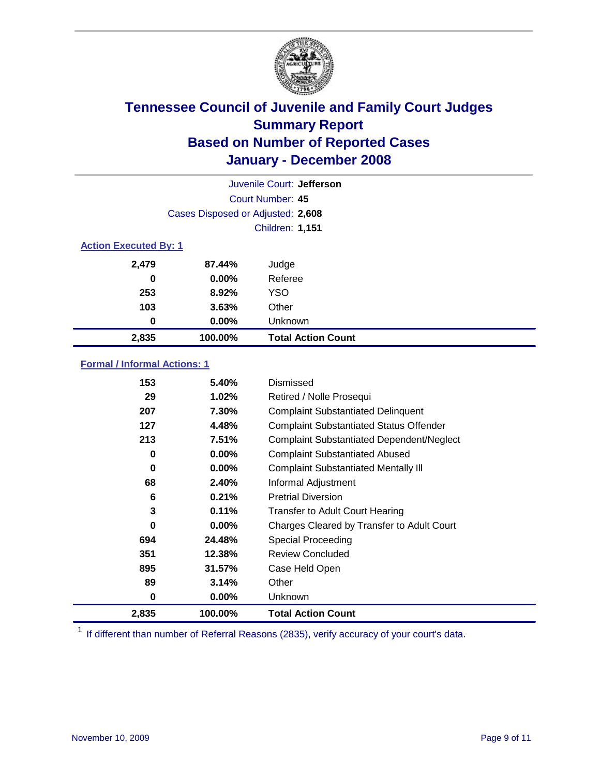

| Juvenile Court: Jefferson    |                                   |                           |  |  |
|------------------------------|-----------------------------------|---------------------------|--|--|
|                              | Court Number: 45                  |                           |  |  |
|                              | Cases Disposed or Adjusted: 2,608 |                           |  |  |
|                              |                                   | <b>Children: 1,151</b>    |  |  |
| <b>Action Executed By: 1</b> |                                   |                           |  |  |
| 2,479                        | 87.44%                            | Judge                     |  |  |
| 0                            | $0.00\%$                          | Referee                   |  |  |
| 253                          | 8.92%                             | <b>YSO</b>                |  |  |
| 103                          | 3.63%                             | Other                     |  |  |
| 0                            | $0.00\%$                          | Unknown                   |  |  |
| 2,835                        | 100.00%                           | <b>Total Action Count</b> |  |  |

### **Formal / Informal Actions: 1**

| 153   | 5.40%    | Dismissed                                        |
|-------|----------|--------------------------------------------------|
| 29    | 1.02%    | Retired / Nolle Prosequi                         |
| 207   | 7.30%    | <b>Complaint Substantiated Delinquent</b>        |
| 127   | 4.48%    | <b>Complaint Substantiated Status Offender</b>   |
| 213   | 7.51%    | <b>Complaint Substantiated Dependent/Neglect</b> |
| 0     | 0.00%    | <b>Complaint Substantiated Abused</b>            |
| 0     | 0.00%    | <b>Complaint Substantiated Mentally III</b>      |
| 68    | 2.40%    | Informal Adjustment                              |
| 6     | 0.21%    | <b>Pretrial Diversion</b>                        |
| 3     | 0.11%    | <b>Transfer to Adult Court Hearing</b>           |
| 0     | $0.00\%$ | Charges Cleared by Transfer to Adult Court       |
| 694   | 24.48%   | Special Proceeding                               |
| 351   | 12.38%   | <b>Review Concluded</b>                          |
| 895   | 31.57%   | Case Held Open                                   |
| 89    | 3.14%    | Other                                            |
| 0     | $0.00\%$ | <b>Unknown</b>                                   |
| 2,835 | 100.00%  | <b>Total Action Count</b>                        |

<sup>1</sup> If different than number of Referral Reasons (2835), verify accuracy of your court's data.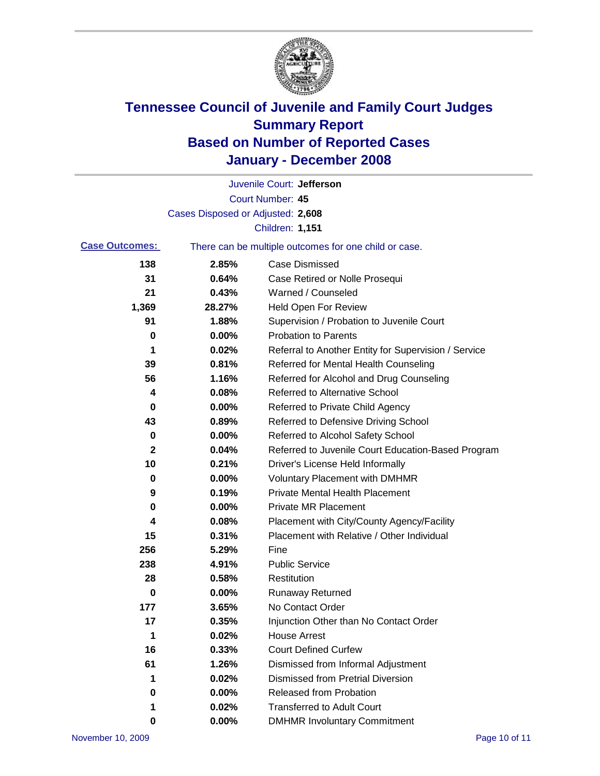

|                                                                                |                                   | Juvenile Court: Jefferson                            |
|--------------------------------------------------------------------------------|-----------------------------------|------------------------------------------------------|
|                                                                                |                                   | Court Number: 45                                     |
|                                                                                | Cases Disposed or Adjusted: 2,608 |                                                      |
|                                                                                |                                   | <b>Children: 1,151</b>                               |
| <b>Case Outcomes:</b><br>There can be multiple outcomes for one child or case. |                                   |                                                      |
| 138                                                                            | 2.85%                             | <b>Case Dismissed</b>                                |
| 31                                                                             | 0.64%                             | Case Retired or Nolle Prosequi                       |
| 21                                                                             | 0.43%                             | Warned / Counseled                                   |
| 1,369                                                                          | 28.27%                            | <b>Held Open For Review</b>                          |
| 91                                                                             | 1.88%                             | Supervision / Probation to Juvenile Court            |
| 0                                                                              | 0.00%                             | <b>Probation to Parents</b>                          |
| 1                                                                              | 0.02%                             | Referral to Another Entity for Supervision / Service |
| 39                                                                             | 0.81%                             | Referred for Mental Health Counseling                |
| 56                                                                             | 1.16%                             | Referred for Alcohol and Drug Counseling             |
| 4                                                                              | 0.08%                             | <b>Referred to Alternative School</b>                |
| 0                                                                              | 0.00%                             | Referred to Private Child Agency                     |
| 43                                                                             | 0.89%                             | Referred to Defensive Driving School                 |
| 0                                                                              | 0.00%                             | Referred to Alcohol Safety School                    |
| 2                                                                              | 0.04%                             | Referred to Juvenile Court Education-Based Program   |
| 10                                                                             | 0.21%                             | Driver's License Held Informally                     |
| 0                                                                              | 0.00%                             | <b>Voluntary Placement with DMHMR</b>                |
| 9                                                                              | 0.19%                             | <b>Private Mental Health Placement</b>               |
| 0                                                                              | 0.00%                             | <b>Private MR Placement</b>                          |
| 4                                                                              | 0.08%                             | Placement with City/County Agency/Facility           |
| 15                                                                             | 0.31%                             | Placement with Relative / Other Individual           |
| 256                                                                            | 5.29%                             | Fine                                                 |
| 238                                                                            | 4.91%                             | <b>Public Service</b>                                |
| 28                                                                             | 0.58%                             | Restitution                                          |
| 0                                                                              | 0.00%                             | <b>Runaway Returned</b>                              |
| 177                                                                            | 3.65%                             | No Contact Order                                     |
| 17                                                                             | 0.35%                             | Injunction Other than No Contact Order               |
| 1                                                                              | 0.02%                             | <b>House Arrest</b>                                  |
| 16                                                                             | 0.33%                             | <b>Court Defined Curfew</b>                          |
| 61                                                                             | 1.26%                             | Dismissed from Informal Adjustment                   |
| 1                                                                              | 0.02%                             | <b>Dismissed from Pretrial Diversion</b>             |
| 0                                                                              | 0.00%                             | <b>Released from Probation</b>                       |
| 1                                                                              | 0.02%                             | <b>Transferred to Adult Court</b>                    |
| 0                                                                              | 0.00%                             | <b>DMHMR Involuntary Commitment</b>                  |